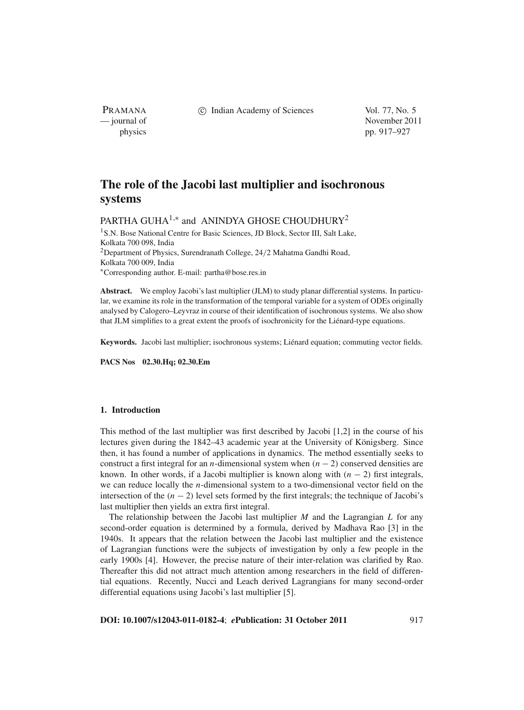PRAMANA

c Indian Academy of Sciences Vol. 77, No. 5

— journal of November 2011 physics pp. 917–927

# **The role of the Jacobi last multiplier and isochronous systems**

PARTHA GUHA<sup>1,\*</sup> and ANINDYA GHOSE CHOUDHURY<sup>2</sup>

<sup>1</sup>S.N. Bose National Centre for Basic Sciences, JD Block, Sector III, Salt Lake, Kolkata 700 098, India <sup>2</sup>Department of Physics, Surendranath College,  $24/2$  Mahatma Gandhi Road, Kolkata 700 009, India <sup>∗</sup>Corresponding author. E-mail: partha@bose.res.in

**Abstract.** We employ Jacobi's last multiplier (JLM) to study planar differential systems. In particular, we examine its role in the transformation of the temporal variable for a system of ODEs originally analysed by Calogero–Leyvraz in course of their identification of isochronous systems. We also show that JLM simplifies to a great extent the proofs of isochronicity for the Liénard-type equations.

**Keywords.** Jacobi last multiplier; isochronous systems; Liénard equation; commuting vector fields.

**PACS Nos 02.30.Hq; 02.30.Em**

# **1. Introduction**

This method of the last multiplier was first described by Jacobi [1,2] in the course of his lectures given during the 1842–43 academic year at the University of Königsberg. Since then, it has found a number of applications in dynamics. The method essentially seeks to construct a first integral for an *n*-dimensional system when (*n* − 2) conserved densities are known. In other words, if a Jacobi multiplier is known along with  $(n - 2)$  first integrals, we can reduce locally the *n*-dimensional system to a two-dimensional vector field on the intersection of the  $(n - 2)$  level sets formed by the first integrals; the technique of Jacobi's last multiplier then yields an extra first integral.

The relationship between the Jacobi last multiplier *M* and the Lagrangian *L* for any second-order equation is determined by a formula, derived by Madhava Rao [3] in the 1940s. It appears that the relation between the Jacobi last multiplier and the existence of Lagrangian functions were the subjects of investigation by only a few people in the early 1900s [4]. However, the precise nature of their inter-relation was clarified by Rao. Thereafter this did not attract much attention among researchers in the field of differential equations. Recently, Nucci and Leach derived Lagrangians for many second-order differential equations using Jacobi's last multiplier [5].

**DOI: 10.1007/s12043-011-0182-4**; *e***Publication: 31 October 2011** 917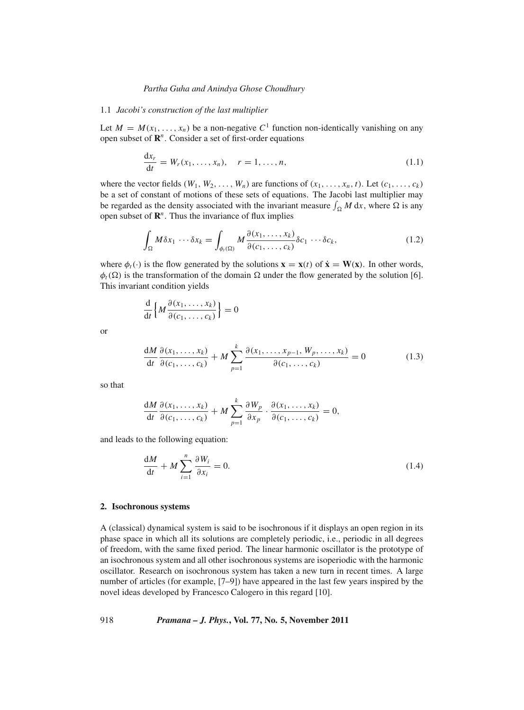#### 1.1 *Jacobi's construction of the last multiplier*

Let  $M = M(x_1, \ldots, x_n)$  be a non-negative  $C^1$  function non-identically vanishing on any open subset of **R***<sup>n</sup>*. Consider a set of first-order equations

$$
\frac{dx_r}{dt} = W_r(x_1, ..., x_n), \quad r = 1, ..., n,
$$
\n(1.1)

where the vector fields  $(W_1, W_2, \ldots, W_n)$  are functions of  $(x_1, \ldots, x_n, t)$ . Let  $(c_1, \ldots, c_k)$ be a set of constant of motions of these sets of equations. The Jacobi last multiplier may be regarded as the density associated with the invariant measure  $\int_{\Omega} M dx$ , where  $\Omega$  is any open subset of **R***<sup>n</sup>*. Thus the invariance of flux implies

$$
\int_{\Omega} M \delta x_1 \cdots \delta x_k = \int_{\phi_t(\Omega)} M \frac{\partial(x_1, \dots, x_k)}{\partial(c_1, \dots, c_k)} \delta c_1 \cdots \delta c_k,
$$
\n(1.2)

where  $\phi_t(\cdot)$  is the flow generated by the solutions  $\mathbf{x} = \mathbf{x}(t)$  of  $\dot{\mathbf{x}} = \mathbf{W}(\mathbf{x})$ . In other words,  $\phi_t(\Omega)$  is the transformation of the domain  $\Omega$  under the flow generated by the solution [6]. This invariant condition yields

$$
\frac{\mathrm{d}}{\mathrm{d}t}\Big\{M\frac{\partial(x_1,\ldots,x_k)}{\partial(c_1,\ldots,c_k)}\Big\}=0
$$

or

$$
\frac{dM}{dt}\frac{\partial(x_1,\ldots,x_k)}{\partial(c_1,\ldots,c_k)} + M\sum_{p=1}^k \frac{\partial(x_1,\ldots,x_{p-1},W_p,\ldots,x_k)}{\partial(c_1,\ldots,c_k)} = 0
$$
\n(1.3)

so that

$$
\frac{dM}{dt}\frac{\partial(x_1,\ldots,x_k)}{\partial(c_1,\ldots,c_k)}+M\sum_{p=1}^k\frac{\partial W_p}{\partial x_p}\cdot\frac{\partial(x_1,\ldots,x_k)}{\partial(c_1,\ldots,c_k)}=0,
$$

and leads to the following equation:

$$
\frac{dM}{dt} + M \sum_{i=1}^{n} \frac{\partial W_i}{\partial x_i} = 0.
$$
\n(1.4)

## **2. Isochronous systems**

A (classical) dynamical system is said to be isochronous if it displays an open region in its phase space in which all its solutions are completely periodic, i.e., periodic in all degrees of freedom, with the same fixed period. The linear harmonic oscillator is the prototype of an isochronous system and all other isochronous systems are isoperiodic with the harmonic oscillator. Research on isochronous system has taken a new turn in recent times. A large number of articles (for example, [7–9]) have appeared in the last few years inspired by the novel ideas developed by Francesco Calogero in this regard [10].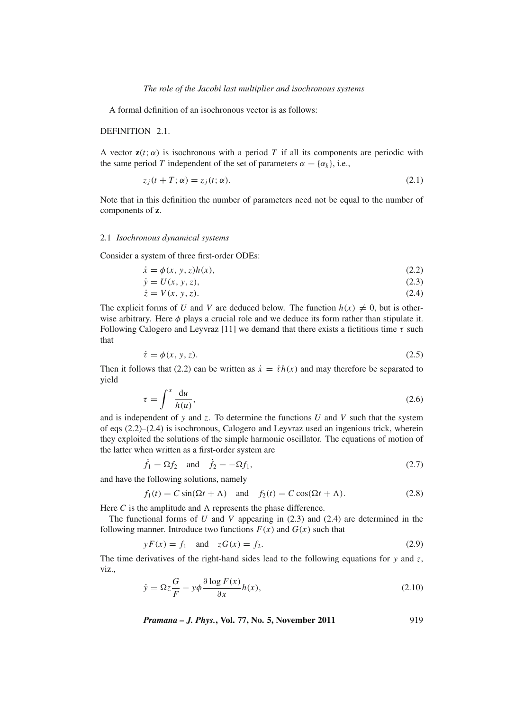A formal definition of an isochronous vector is as follows:

DEFINITION 2.1.

A vector  $z(t; \alpha)$  is isochronous with a period T if all its components are periodic with the same period *T* independent of the set of parameters  $\alpha = {\alpha_k}$ , i.e.,

$$
z_j(t+T; \alpha) = z_j(t; \alpha). \tag{2.1}
$$

Note that in this definition the number of parameters need not be equal to the number of components of **z**.

## 2.1 *Isochronous dynamical systems*

Consider a system of three first-order ODEs:

$$
\dot{x} = \phi(x, y, z)h(x),\tag{2.2}
$$

$$
\dot{y} = U(x, y, z),\tag{2.3}
$$

$$
\dot{z} = V(x, y, z). \tag{2.4}
$$

The explicit forms of *U* and *V* are deduced below. The function  $h(x) \neq 0$ , but is otherwise arbitrary. Here  $\phi$  plays a crucial role and we deduce its form rather than stipulate it. Following Calogero and Leyvraz [11] we demand that there exists a fictitious time  $\tau$  such that

$$
\dot{\tau} = \phi(x, y, z). \tag{2.5}
$$

Then it follows that (2.2) can be written as  $\dot{x} = \dot{t}h(x)$  and may therefore be separated to yield

$$
\tau = \int^x \frac{\mathrm{d}u}{h(u)},\tag{2.6}
$$

and is independent of *y* and *z*. To determine the functions *U* and *V* such that the system of eqs (2.2)–(2.4) is isochronous, Calogero and Leyvraz used an ingenious trick, wherein they exploited the solutions of the simple harmonic oscillator. The equations of motion of the latter when written as a first-order system are

$$
\dot{f}_1 = \Omega f_2 \quad \text{and} \quad \dot{f}_2 = -\Omega f_1,\tag{2.7}
$$

and have the following solutions, namely

 $f_1(t) = C \sin(\Omega t + \Lambda)$  and  $f_2(t) = C \cos(\Omega t + \Lambda)$ . (2.8)

Here  $C$  is the amplitude and  $\Lambda$  represents the phase difference.

The functional forms of *U* and *V* appearing in (2.3) and (2.4) are determined in the following manner. Introduce two functions  $F(x)$  and  $G(x)$  such that

$$
yF(x) = f_1 \quad \text{and} \quad zG(x) = f_2. \tag{2.9}
$$

The time derivatives of the right-hand sides lead to the following equations for  $y$  and  $z$ , viz.,

$$
\dot{y} = \Omega z \frac{G}{F} - y\phi \frac{\partial \log F(x)}{\partial x} h(x),\tag{2.10}
$$

*Pramana – J. Phys.***, Vol. 77, No. 5, November 2011** 919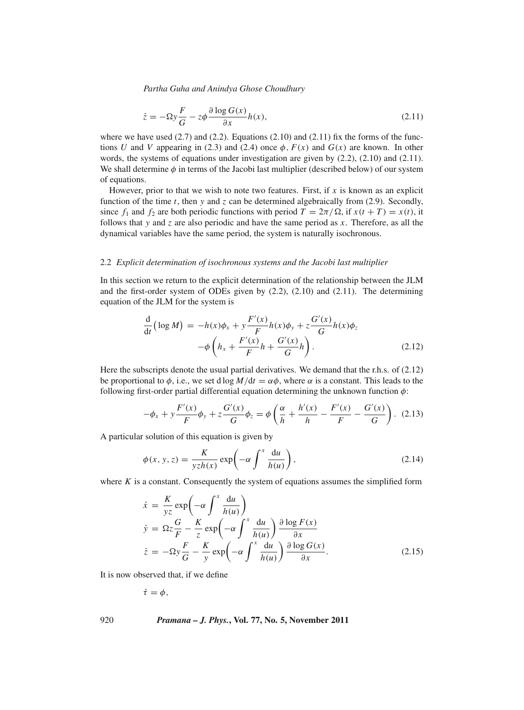$$
\dot{z} = -\Omega y \frac{F}{G} - z\phi \frac{\partial \log G(x)}{\partial x} h(x),\tag{2.11}
$$

where we have used  $(2.7)$  and  $(2.2)$ . Equations  $(2.10)$  and  $(2.11)$  fix the forms of the functions *U* and *V* appearing in (2.3) and (2.4) once  $\phi$ ,  $F(x)$  and  $G(x)$  are known. In other words, the systems of equations under investigation are given by (2.2), (2.10) and (2.11). We shall determine  $\phi$  in terms of the Jacobi last multiplier (described below) of our system of equations.

However, prior to that we wish to note two features. First, if *x* is known as an explicit function of the time *t*, then *y* and *z* can be determined algebraically from (2.9). Secondly, since  $f_1$  and  $f_2$  are both periodic functions with period  $T = 2\pi/\Omega$ , if  $x(t + T) = x(t)$ , it follows that *y* and *z* are also periodic and have the same period as *x*. Therefore, as all the dynamical variables have the same period, the system is naturally isochronous.

#### 2.2 *Explicit determination of isochronous systems and the Jacobi last multiplier*

In this section we return to the explicit determination of the relationship between the JLM and the first-order system of ODEs given by (2.2), (2.10) and (2.11). The determining equation of the JLM for the system is

$$
\frac{d}{dt}(\log M) = -h(x)\phi_x + y\frac{F'(x)}{F}h(x)\phi_y + z\frac{G'(x)}{G}h(x)\phi_z \n- \phi \left(h_x + \frac{F'(x)}{F}h + \frac{G'(x)}{G}h\right).
$$
\n(2.12)

Here the subscripts denote the usual partial derivatives. We demand that the r.h.s. of (2.12) be proportional to  $\phi$ , i.e., we set d log  $M/dt = \alpha \phi$ , where  $\alpha$  is a constant. This leads to the following first-order partial differential equation determining the unknown function  $\phi$ :

$$
-\phi_x + y \frac{F'(x)}{F} \phi_y + z \frac{G'(x)}{G} \phi_z = \phi \left(\frac{\alpha}{h} + \frac{h'(x)}{h} - \frac{F'(x)}{F} - \frac{G'(x)}{G}\right). (2.13)
$$

A particular solution of this equation is given by

$$
\phi(x, y, z) = \frac{K}{yzh(x)} \exp\left(-\alpha \int^x \frac{du}{h(u)}\right),\tag{2.14}
$$

where  $K$  is a constant. Consequently the system of equations assumes the simplified form

$$
\dot{x} = \frac{K}{yz} \exp\left(-\alpha \int^x \frac{du}{h(u)}\right)
$$
\n
$$
\dot{y} = \Omega z \frac{G}{F} - \frac{K}{z} \exp\left(-\alpha \int^x \frac{du}{h(u)}\right) \frac{\partial \log F(x)}{\partial x}
$$
\n
$$
\dot{z} = -\Omega y \frac{F}{G} - \frac{K}{y} \exp\left(-\alpha \int^x \frac{du}{h(u)}\right) \frac{\partial \log G(x)}{\partial x}.
$$
\n(2.15)

It is now observed that, if we define

$$
\dot{\tau}=\phi,
$$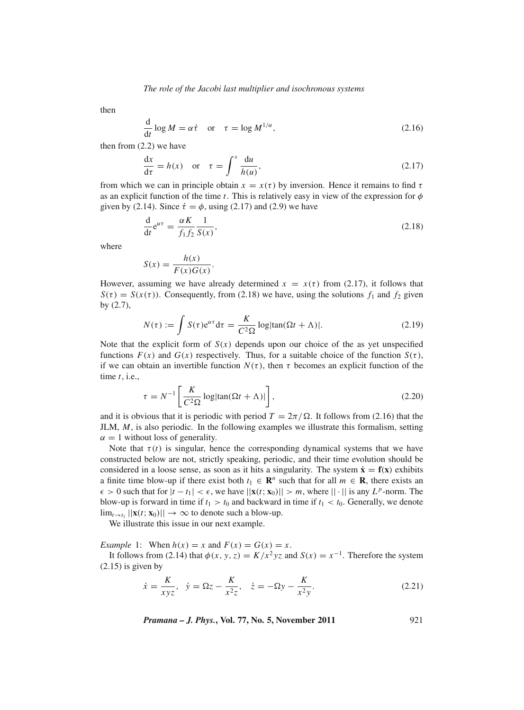then

$$
\frac{d}{dt}\log M = \alpha \dot{\tau} \quad \text{or} \quad \tau = \log M^{1/\alpha},\tag{2.16}
$$

then from (2.2) we have

$$
\frac{dx}{d\tau} = h(x) \quad \text{or} \quad \tau = \int^x \frac{du}{h(u)},\tag{2.17}
$$

from which we can in principle obtain  $x = x(\tau)$  by inversion. Hence it remains to find  $\tau$ as an explicit function of the time *t*. This is relatively easy in view of the expression for  $\phi$ given by (2.14). Since  $\dot{\tau} = \phi$ , using (2.17) and (2.9) we have

$$
\frac{\mathrm{d}}{\mathrm{d}t} \mathrm{e}^{\alpha \tau} = \frac{\alpha K}{f_1 f_2} \frac{1}{S(x)},\tag{2.18}
$$

where

$$
S(x) = \frac{h(x)}{F(x)G(x)}.
$$

However, assuming we have already determined  $x = x(\tau)$  from (2.17), it follows that  $S(\tau) = S(x(\tau))$ . Consequently, from (2.18) we have, using the solutions  $f_1$  and  $f_2$  given by (2.7),

$$
N(\tau) := \int S(\tau) e^{\alpha \tau} d\tau = \frac{K}{C^2 \Omega} \log |\tan(\Omega t + \Lambda)|. \tag{2.19}
$$

Note that the explicit form of  $S(x)$  depends upon our choice of the as yet unspecified functions  $F(x)$  and  $G(x)$  respectively. Thus, for a suitable choice of the function  $S(\tau)$ , if we can obtain an invertible function  $N(\tau)$ , then  $\tau$  becomes an explicit function of the time *t*, i.e.,

$$
\tau = N^{-1} \left[ \frac{K}{C^2 \Omega} \log|\tan(\Omega t + \Lambda)| \right],\tag{2.20}
$$

and it is obvious that it is periodic with period  $T = 2\pi/\Omega$ . It follows from (2.16) that the JLM, *M*, is also periodic. In the following examples we illustrate this formalism, setting  $\alpha = 1$  without loss of generality.

Note that  $\tau(t)$  is singular, hence the corresponding dynamical systems that we have constructed below are not, strictly speaking, periodic, and their time evolution should be considered in a loose sense, as soon as it hits a singularity. The system  $\dot{\mathbf{x}} = \mathbf{f}(\mathbf{x})$  exhibits a finite time blow-up if there exist both  $t_1 \in \mathbb{R}^n$  such that for all  $m \in \mathbb{R}$ , there exists an  $\epsilon > 0$  such that for  $|t - t_1| < \epsilon$ , we have  $||\mathbf{x}(t; \mathbf{x}_0)|| > m$ , where  $|| \cdot ||$  is any  $L^p$ -norm. The blow-up is forward in time if  $t_1 > t_0$  and backward in time if  $t_1 < t_0$ . Generally, we denote  $\lim_{t \to t_1} ||\mathbf{x}(t; \mathbf{x}_0)|| \to \infty$  to denote such a blow-up.

We illustrate this issue in our next example.

*Example* 1: When  $h(x) = x$  and  $F(x) = G(x) = x$ .

It follows from (2.14) that  $\phi(x, y, z) = K/x^2yz$  and  $S(x) = x^{-1}$ . Therefore the system  $(2.15)$  is given by

$$
\dot{x} = \frac{K}{xyz}, \quad \dot{y} = \Omega z - \frac{K}{x^2 z}, \quad \dot{z} = -\Omega y - \frac{K}{x^2 y}.
$$
\n(2.21)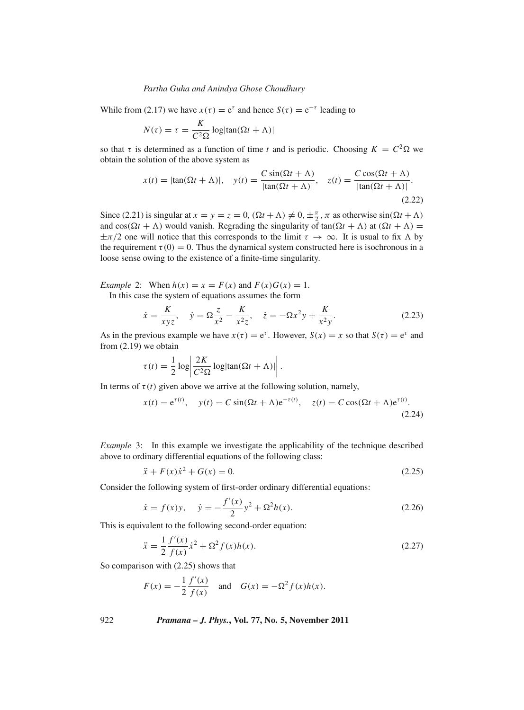While from (2.17) we have  $x(\tau) = e^{\tau}$  and hence  $S(\tau) = e^{-\tau}$  leading to

$$
N(\tau) = \tau = \frac{K}{C^2 \Omega} \log|\tan(\Omega t + \Lambda)|
$$

so that  $\tau$  is determined as a function of time *t* and is periodic. Choosing  $K = C^2 \Omega$  we obtain the solution of the above system as

$$
x(t) = |\tan(\Omega t + \Lambda)|, \quad y(t) = \frac{C \sin(\Omega t + \Lambda)}{|\tan(\Omega t + \Lambda)|}, \quad z(t) = \frac{C \cos(\Omega t + \Lambda)}{|\tan(\Omega t + \Lambda)|}.
$$
\n(2.22)

Since (2.21) is singular at  $x = y = z = 0$ ,  $(\Omega t + \Lambda) \neq 0, \pm \frac{\pi}{2}, \pi$  as otherwise  $\sin((\Omega t + \Lambda))$ and  $cos(\Omega t + \Lambda)$  would vanish. Regrading the singularity of  $tan(\Omega t + \Lambda)$  at  $(\Omega t + \Lambda)$  $\pm \pi/2$  one will notice that this corresponds to the limit  $\tau \to \infty$ . It is usual to fix  $\Lambda$  by the requirement  $\tau(0) = 0$ . Thus the dynamical system constructed here is isochronous in a loose sense owing to the existence of a finite-time singularity.

*Example* 2: When  $h(x) = x = F(x)$  and  $F(x)G(x) = 1$ .

In this case the system of equations assumes the form

$$
\dot{x} = \frac{K}{xyz}, \quad \dot{y} = \Omega \frac{z}{x^2} - \frac{K}{x^2 z}, \quad \dot{z} = -\Omega x^2 y + \frac{K}{x^2 y}.
$$
\n(2.23)

As in the previous example we have  $x(\tau) = e^{\tau}$ . However,  $S(x) = x$  so that  $S(\tau) = e^{\tau}$  and from (2.19) we obtain

$$
\tau(t) = \frac{1}{2} \log \left| \frac{2K}{C^2 \Omega} \log |\tan(\Omega t + \Lambda)| \right|.
$$

In terms of  $\tau(t)$  given above we arrive at the following solution, namely,

$$
x(t) = e^{\tau(t)}, \quad y(t) = C \sin(\Omega t + \Lambda) e^{-\tau(t)}, \quad z(t) = C \cos(\Omega t + \Lambda) e^{\tau(t)}.
$$
\n(2.24)

*Example* 3: In this example we investigate the applicability of the technique described above to ordinary differential equations of the following class:

$$
\ddot{x} + F(x)\dot{x}^2 + G(x) = 0.
$$
 (2.25)

Consider the following system of first-order ordinary differential equations:

$$
\dot{x} = f(x)y, \quad \dot{y} = -\frac{f'(x)}{2}y^2 + \Omega^2 h(x). \tag{2.26}
$$

This is equivalent to the following second-order equation:

$$
\ddot{x} = \frac{1}{2} \frac{f'(x)}{f(x)} \dot{x}^2 + \Omega^2 f(x) h(x).
$$
 (2.27)

So comparison with (2.25) shows that

$$
F(x) = -\frac{1}{2} \frac{f'(x)}{f(x)}
$$
 and  $G(x) = -\Omega^2 f(x)h(x)$ .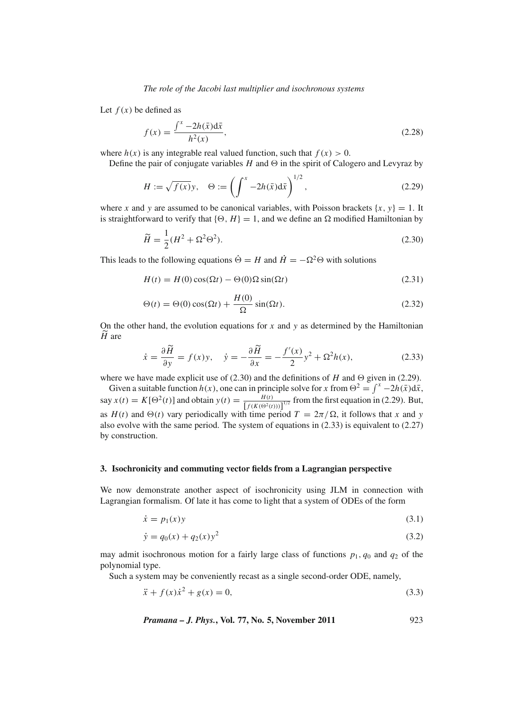*The role of the Jacobi last multiplier and isochronous systems*

Let  $f(x)$  be defined as

$$
f(x) = \frac{\int^{x} -2h(\bar{x})d\bar{x}}{h^{2}(x)},
$$
\n(2.28)

where  $h(x)$  is any integrable real valued function, such that  $f(x) > 0$ .

Define the pair of conjugate variables  $H$  and  $\Theta$  in the spirit of Calogero and Levyraz by

$$
H := \sqrt{f(x)}y, \quad \Theta := \left(\int^{x} -2h(\bar{x})d\bar{x}\right)^{1/2},\tag{2.29}
$$

where *x* and *y* are assumed to be canonical variables, with Poisson brackets  $\{x, y\} = 1$ . It is straightforward to verify that  $\{\Theta, H\} = 1$ , and we define an  $\Omega$  modified Hamiltonian by

$$
\widetilde{H} = \frac{1}{2}(H^2 + \Omega^2 \Theta^2). \tag{2.30}
$$

This leads to the following equations  $\dot{\Theta} = H$  and  $\dot{H} = -\Omega^2 \Theta$  with solutions

$$
H(t) = H(0)\cos(\Omega t) - \Theta(0)\Omega\sin(\Omega t)
$$
\n(2.31)

$$
\Theta(t) = \Theta(0)\cos(\Omega t) + \frac{H(0)}{\Omega}\sin(\Omega t). \tag{2.32}
$$

On the other hand, the evolution equations for *x* and *y* as determined by the Hamiltonian *H* are

$$
\dot{x} = \frac{\partial \widetilde{H}}{\partial y} = f(x)y, \quad \dot{y} = -\frac{\partial \widetilde{H}}{\partial x} = -\frac{f'(x)}{2}y^2 + \Omega^2 h(x), \tag{2.33}
$$

where we have made explicit use of  $(2.30)$  and the definitions of *H* and  $\Theta$  given in (2.29).

Given a suitable function  $h(x)$ , one can in principle solve for *x* from  $\Theta^2 = \int^x -2h(\bar{x})d\bar{x}$ , say  $x(t) = K[\Theta^2(t)]$  and obtain  $y(t) = \frac{H(t)}{[f(K(\Theta^2(t)))]^{1/2}}$  from the first equation in (2.29). But, as  $H(t)$  and  $\Theta(t)$  vary periodically with time period  $T = 2\pi/\Omega$ , it follows that *x* and *y* also evolve with the same period. The system of equations in (2.33) is equivalent to (2.27) by construction.

## **3. Isochronicity and commuting vector fields from a Lagrangian perspective**

We now demonstrate another aspect of isochronicity using JLM in connection with Lagrangian formalism. Of late it has come to light that a system of ODEs of the form

$$
\dot{x} = p_1(x)y \tag{3.1}
$$

$$
\dot{y} = q_0(x) + q_2(x)y^2 \tag{3.2}
$$

may admit isochronous motion for a fairly large class of functions  $p_1$ ,  $q_0$  and  $q_2$  of the polynomial type.

Such a system may be conveniently recast as a single second-order ODE, namely,

$$
\ddot{x} + f(x)\dot{x}^2 + g(x) = 0,\tag{3.3}
$$

*Pramana – J. Phys.***, Vol. 77, No. 5, November 2011** 923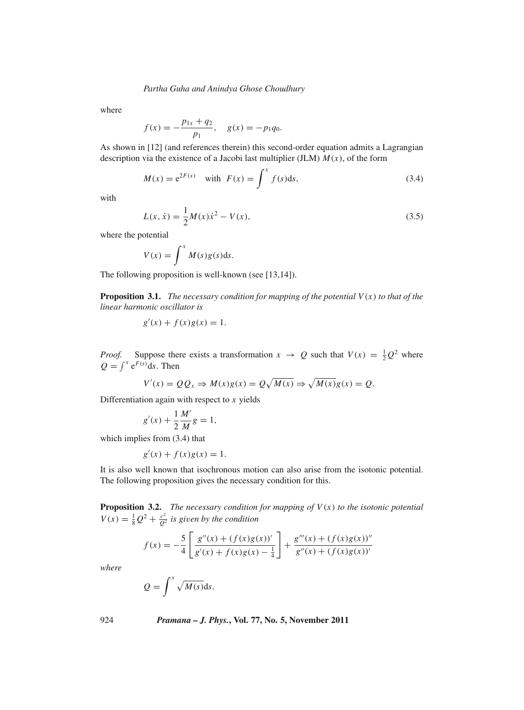where

$$
f(x) = -\frac{p_{1x} + q_2}{p_1}, \quad g(x) = -p_1 q_0.
$$

As shown in [12] (and references therein) this second-order equation admits a Lagrangian description via the existence of a Jacobi last multiplier (JLM) *M*(*x*), of the form

$$
M(x) = e^{2F(x)} \text{ with } F(x) = \int^x f(s) \, \mathrm{d}s,\tag{3.4}
$$

with

$$
L(x, \dot{x}) = \frac{1}{2}M(x)\dot{x}^{2} - V(x),
$$
\n(3.5)

where the potential

$$
V(x) = \int^x M(s)g(s)ds.
$$

The following proposition is well-known (see [13,14]).

**Proposition 3.1.** *The necessary condition for mapping of the potential*  $V(x)$  *to that of the linear harmonic oscillator is*

$$
g'(x) + f(x)g(x) = 1.
$$

*Proof.* Suppose there exists a transformation  $x \to Q$  such that  $V(x) = \frac{1}{2}Q^2$  where  $Q = \int^x e^{F(s)} ds$ . Then

$$
V'(x) = QQ_x \Rightarrow M(x)g(x) = Q\sqrt{M(x)} \Rightarrow \sqrt{M(x)}g(x) = Q.
$$

Differentiation again with respect to *x* yields

$$
g'(x) + \frac{1}{2} \frac{M'}{M} g = 1,
$$

which implies from  $(3.4)$  that

$$
g'(x) + f(x)g(x) = 1.
$$

It is also well known that isochronous motion can also arise from the isotonic potential. The following proposition gives the necessary condition for this.

**Proposition 3.2.** *The necessary condition for mapping of V*(*x*) *to the isotonic potential*  $V(x) = \frac{1}{8}Q^2 + \frac{c^2}{Q^2}$  *is given by the condition* 

$$
f(x) = -\frac{5}{4} \left[ \frac{g''(x) + (f(x)g(x))'}{g'(x) + f(x)g(x) - \frac{1}{4}} \right] + \frac{g'''(x) + (f(x)g(x))''}{g''(x) + (f(x)g(x))'}
$$

*where*

$$
Q = \int^x \sqrt{M(s)} \mathrm{d} s.
$$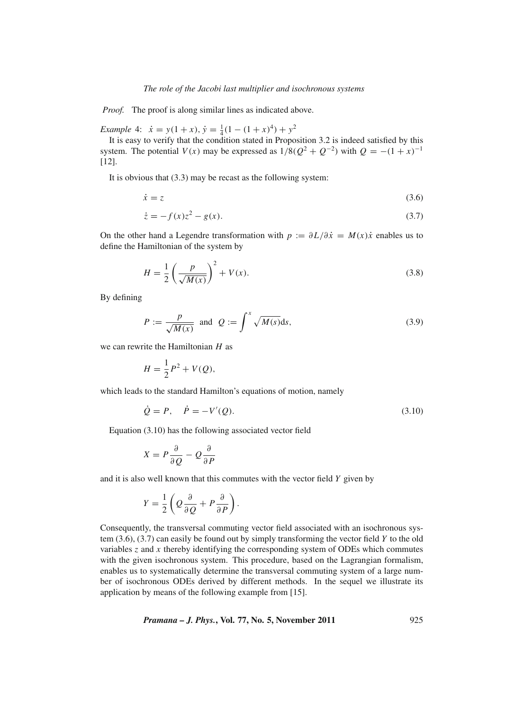*Proof.* The proof is along similar lines as indicated above.

*Example* 4:  $\dot{x} = y(1+x), \dot{y} = \frac{1}{4}(1-(1+x)^4) + y^2$ 

It is easy to verify that the condition stated in Proposition 3.2 is indeed satisfied by this system. The potential  $V(x)$  may be expressed as  $1/8(Q^2 + Q^{-2})$  with  $Q = -(1 + x)^{-1}$ [12].

It is obvious that (3.3) may be recast as the following system:

$$
\dot{x} = z \tag{3.6}
$$

$$
\dot{z} = -f(x)z^2 - g(x). \tag{3.7}
$$

On the other hand a Legendre transformation with  $p := \partial L/\partial \dot{x} = M(x)\dot{x}$  enables us to define the Hamiltonian of the system by

$$
H = \frac{1}{2} \left( \frac{p}{\sqrt{M(x)}} \right)^2 + V(x).
$$
 (3.8)

By defining

$$
P := \frac{p}{\sqrt{M(x)}} \text{ and } Q := \int^x \sqrt{M(s)} \, \mathrm{d}s,\tag{3.9}
$$

we can rewrite the Hamiltonian *H* as

$$
H = \frac{1}{2}P^2 + V(Q),
$$

which leads to the standard Hamilton's equations of motion, namely

$$
\dot{Q} = P, \quad \dot{P} = -V'(Q). \tag{3.10}
$$

Equation (3.10) has the following associated vector field

$$
X = P\frac{\partial}{\partial Q} - Q\frac{\partial}{\partial P}
$$

and it is also well known that this commutes with the vector field *Y* given by

$$
Y = \frac{1}{2} \left( Q \frac{\partial}{\partial Q} + P \frac{\partial}{\partial P} \right).
$$

Consequently, the transversal commuting vector field associated with an isochronous system (3.6), (3.7) can easily be found out by simply transforming the vector field *Y* to the old variables *z* and *x* thereby identifying the corresponding system of ODEs which commutes with the given isochronous system. This procedure, based on the Lagrangian formalism, enables us to systematically determine the transversal commuting system of a large number of isochronous ODEs derived by different methods. In the sequel we illustrate its application by means of the following example from [15].

*Pramana – J. Phys.***, Vol. 77, No. 5, November 2011** 925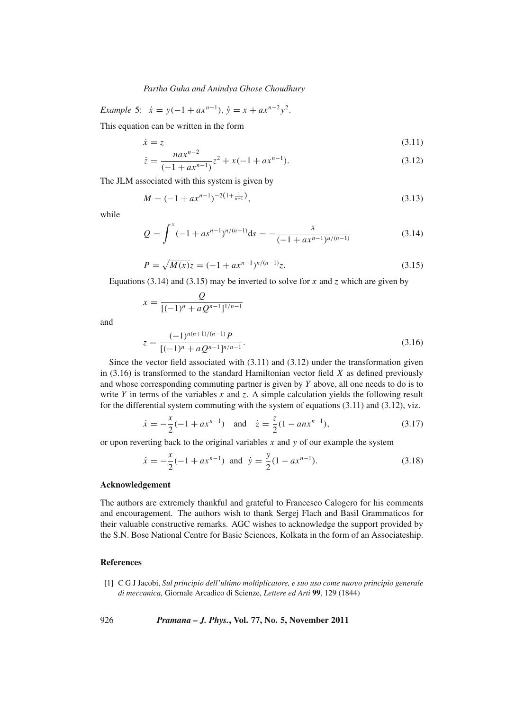*Example* 5:  $\dot{x} = y(-1 + ax^{n-1}), \dot{y} = x + ax^{n-2}y^2$ .

This equation can be written in the form

$$
\dot{x} = z \tag{3.11}
$$

$$
\dot{z} = \frac{na x^{n-2}}{(-1 + a x^{n-1})} z^2 + x(-1 + a x^{n-1}).
$$
\n(3.12)

The JLM associated with this system is given by

$$
M = (-1 + ax^{n-1})^{-2(1 + \frac{1}{n-1})},\tag{3.13}
$$

while

and

$$
Q = \int^x (-1 + as^{n-1})^{n/(n-1)} ds = -\frac{x}{(-1 + ax^{n-1})^{n/(n-1)}}
$$
(3.14)

$$
P = \sqrt{M(x)}z = (-1 + ax^{n-1})^{n/(n-1)}z.
$$
\n(3.15)

Equations (3.14) and (3.15) may be inverted to solve for  $x$  and  $z$  which are given by

$$
x = \frac{Q}{[(-1)^n + aQ^{n-1}]^{1/n-1}}
$$
  

$$
z = \frac{(-1)^{n(n+1)/(n-1)}P}{[(-1)^n + aQ^{n-1}]^{n/n-1}}.
$$
 (3.16)

Since the vector field associated with  $(3.11)$  and  $(3.12)$  under the transformation given in (3.16) is transformed to the standard Hamiltonian vector field *X* as defined previously and whose corresponding commuting partner is given by *Y* above, all one needs to do is to write *Y* in terms of the variables *x* and *z*. A simple calculation yields the following result for the differential system commuting with the system of equations  $(3.11)$  and  $(3.12)$ , viz.

$$
\dot{x} = -\frac{x}{2}(-1 + ax^{n-1})
$$
 and  $\dot{z} = \frac{z}{2}(1 - anx^{n-1}),$ \n(3.17)

or upon reverting back to the original variables *x* and *y* of our example the system

$$
\dot{x} = -\frac{x}{2}(-1 + ax^{n-1}) \text{ and } \dot{y} = \frac{y}{2}(1 - ax^{n-1}).
$$
\n(3.18)

#### **Acknowledgement**

The authors are extremely thankful and grateful to Francesco Calogero for his comments and encouragement. The authors wish to thank Sergej Flach and Basil Grammaticos for their valuable constructive remarks. AGC wishes to acknowledge the support provided by the S.N. Bose National Centre for Basic Sciences, Kolkata in the form of an Associateship.

# **References**

[1] C G J Jacobi, *Sul principio dell'ultimo moltiplicatore, e suo uso come nuo*v*o principio generale di meccanica,* Giornale Arcadico di Scienze, *Lettere ed Arti* **99**, 129 (1844)